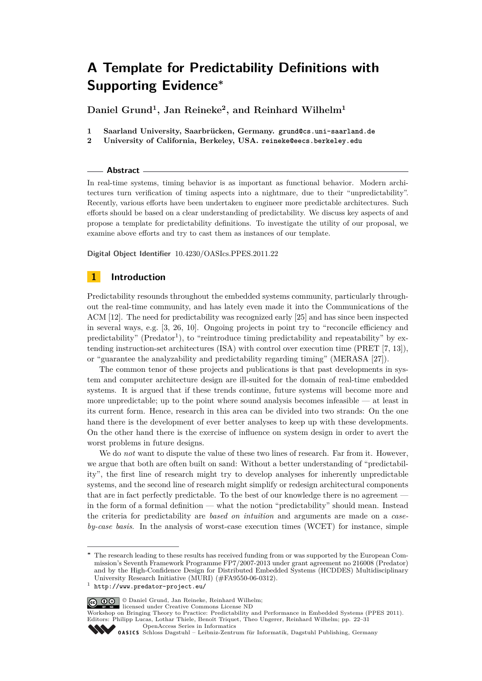**Daniel Grund<sup>1</sup> , Jan Reineke<sup>2</sup> , and Reinhard Wilhelm<sup>1</sup>**

- **1 Saarland University, Saarbrücken, Germany. [grund@cs.uni-saarland.de](mailto:grund@cs.uni-saarland.de)**
- **2 University of California, Berkeley, USA. [reineke@eecs.berkeley.edu](mailto:reineke@eecs.berkeley.edu)**

#### **Abstract**

In real-time systems, timing behavior is as important as functional behavior. Modern architectures turn verification of timing aspects into a nightmare, due to their "unpredictability". Recently, various efforts have been undertaken to engineer more predictable architectures. Such efforts should be based on a clear understanding of predictability. We discuss key aspects of and propose a template for predictability definitions. To investigate the utility of our proposal, we examine above efforts and try to cast them as instances of our template.

**Digital Object Identifier** [10.4230/OASIcs.PPES.2011.22](http://dx.doi.org/10.4230/OASIcs.PPES.2011.22)

# **1 Introduction**

Predictability resounds throughout the embedded systems community, particularly throughout the real-time community, and has lately even made it into the Communications of the ACM [\[12\]](#page-9-0). The need for predictability was recognized early [\[25\]](#page-9-1) and has since been inspected in several ways, e.g. [\[3,](#page-8-0) [26,](#page-9-2) [10\]](#page-9-3). Ongoing projects in point try to "reconcile efficiency and predictability" (Predator<sup>1</sup>), to "reintroduce timing predictability and repeatability" by extending instruction-set architectures (ISA) with control over execution time (PRET [\[7,](#page-9-4) [13\]](#page-9-5)), or "guarantee the analyzability and predictability regarding timing" (MERASA [\[27\]](#page-9-6)).

The common tenor of these projects and publications is that past developments in system and computer architecture design are ill-suited for the domain of real-time embedded systems. It is argued that if these trends continue, future systems will become more and more unpredictable; up to the point where sound analysis becomes infeasible — at least in its current form. Hence, research in this area can be divided into two strands: On the one hand there is the development of ever better analyses to keep up with these developments. On the other hand there is the exercise of influence on system design in order to avert the worst problems in future designs.

We do *not* want to dispute the value of these two lines of research. Far from it. However, we argue that both are often built on sand: Without a better understanding of "predictability", the first line of research might try to develop analyses for inherently unpredictable systems, and the second line of research might simplify or redesign architectural components that are in fact perfectly predictable. To the best of our knowledge there is no agreement in the form of a formal definition — what the notion "predictability" should mean. Instead the criteria for predictability are *based on intuition* and arguments are made on a *caseby-case basis*. In the analysis of worst-case execution times (WCET) for instance, simple

© Daniel Grund, Jan Reineke, Reinhard Wilhelm; licensed under Creative Commons License ND

Workshop on Bringing Theory to Practice: Predictability and Performance in Embedded Systems (PPES 2011). Editors: Philipp Lucas, Lothar Thiele, Benoît Triquet, Theo Ungerer, Reinhard Wilhelm; pp. 22[–31](#page-9-7)

[OpenAccess Series in Informatics](http://www.dagstuhl.de/oasics/)

**<sup>∗</sup>** The research leading to these results has received funding from or was supported by the European Commission's Seventh Framework Programme FP7/2007-2013 under grant agreement no 216008 (Predator) and by the High-Confidence Design for Distributed Embedded Systems (HCDDES) Multidisciplinary University Research Initiative (MURI) (#FA9550-06-0312).

<sup>1</sup> <http://www.predator-project.eu/>

OASICS [Schloss Dagstuhl – Leibniz-Zentrum für Informatik, Dagstuhl Publishing, Germany](http://www.dagstuhl.de/)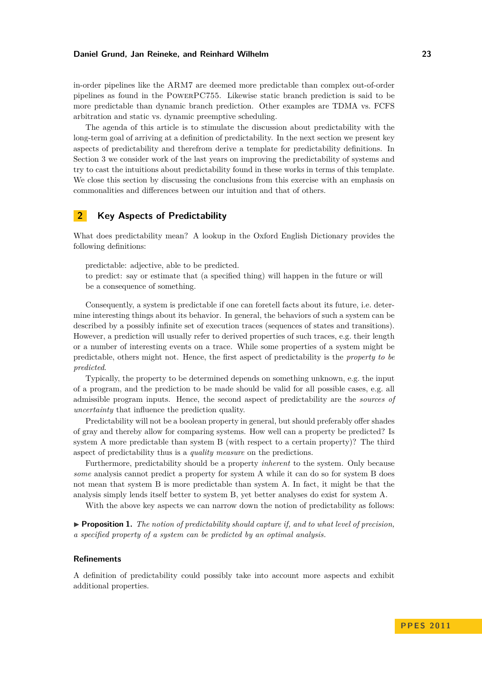in-order pipelines like the ARM7 are deemed more predictable than complex out-of-order pipelines as found in the PowerPC755. Likewise static branch prediction is said to be more predictable than dynamic branch prediction. Other examples are TDMA vs. FCFS arbitration and static vs. dynamic preemptive scheduling.

The agenda of this article is to stimulate the discussion about predictability with the long-term goal of arriving at a definition of predictability. In the next section we present key aspects of predictability and therefrom derive a template for predictability definitions. In Section [3](#page-4-0) we consider work of the last years on improving the predictability of systems and try to cast the intuitions about predictability found in these works in terms of this template. We close this section by discussing the conclusions from this exercise with an emphasis on commonalities and differences between our intuition and that of others.

# **2 Key Aspects of Predictability**

What does predictability mean? A lookup in the Oxford English Dictionary provides the following definitions:

predictable: adjective, able to be predicted.

to predict: say or estimate that (a specified thing) will happen in the future or will be a consequence of something.

Consequently, a system is predictable if one can foretell facts about its future, i.e. determine interesting things about its behavior. In general, the behaviors of such a system can be described by a possibly infinite set of execution traces (sequences of states and transitions). However, a prediction will usually refer to derived properties of such traces, e.g. their length or a number of interesting events on a trace. While some properties of a system might be predictable, others might not. Hence, the first aspect of predictability is the *property to be predicted*.

Typically, the property to be determined depends on something unknown, e.g. the input of a program, and the prediction to be made should be valid for all possible cases, e.g. all admissible program inputs. Hence, the second aspect of predictability are the *sources of uncertainty* that influence the prediction quality.

Predictability will not be a boolean property in general, but should preferably offer shades of gray and thereby allow for comparing systems. How well can a property be predicted? Is system A more predictable than system B (with respect to a certain property)? The third aspect of predictability thus is a *quality measure* on the predictions.

Furthermore, predictability should be a property *inherent* to the system. Only because *some* analysis cannot predict a property for system A while it can do so for system B does not mean that system B is more predictable than system A. In fact, it might be that the analysis simply lends itself better to system B, yet better analyses do exist for system A.

With the above key aspects we can narrow down the notion of predictability as follows:

<span id="page-1-0"></span> $\triangleright$  **Proposition 1.** *The notion of predictability should capture if, and to what level of precision. a specified property of a system can be predicted by an optimal analysis.*

#### **Refinements**

A definition of predictability could possibly take into account more aspects and exhibit additional properties.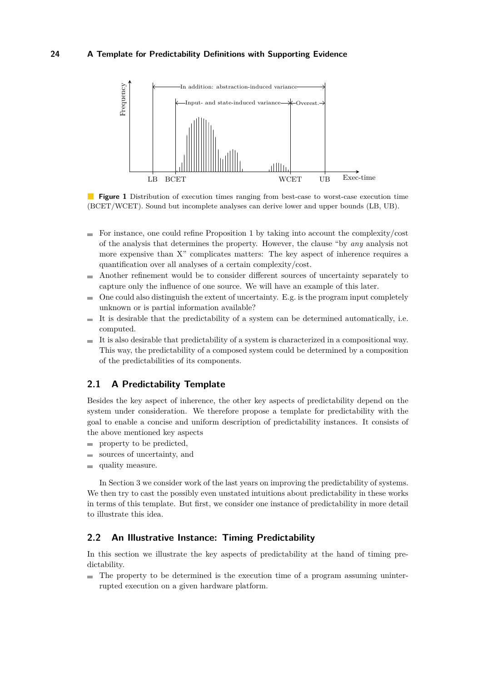

<span id="page-2-0"></span>**Figure 1** Distribution of execution times ranging from best-case to worst-case execution time (BCET/WCET). Sound but incomplete analyses can derive lower and upper bounds (LB, UB).

- $\blacksquare$  For instance, one could refine Proposition [1](#page-1-0) by taking into account the complexity/cost of the analysis that determines the property. However, the clause "by *any* analysis not more expensive than X" complicates matters: The key aspect of inherence requires a quantification over all analyses of a certain complexity/cost.
- Another refinement would be to consider different sources of uncertainty separately to m. capture only the influence of one source. We will have an example of this later.
- One could also distinguish the extent of uncertainty. E.g. is the program input completely  $\sim$ unknown or is partial information available?
- It is desirable that the predictability of a system can be determined automatically, i.e.  $\sim$ computed.
- It is also desirable that predictability of a system is characterized in a compositional way. m. This way, the predictability of a composed system could be determined by a composition of the predictabilities of its components.

## **2.1 A Predictability Template**

<span id="page-2-1"></span>Besides the key aspect of inherence, the other key aspects of predictability depend on the system under consideration. We therefore propose a template for predictability with the goal to enable a concise and uniform description of predictability instances. It consists of the above mentioned key aspects

- $\blacksquare$  property to be predicted,
- sources of uncertainty, and  $\equiv$
- quality measure.

In Section [3](#page-4-0) we consider work of the last years on improving the predictability of systems. We then try to cast the possibly even unstated intuitions about predictability in these works in terms of this template. But first, we consider one instance of predictability in more detail to illustrate this idea.

## **2.2 An Illustrative Instance: Timing Predictability**

In this section we illustrate the key aspects of predictability at the hand of timing predictability.

The property to be determined is the execution time of a program assuming uninterrupted execution on a given hardware platform.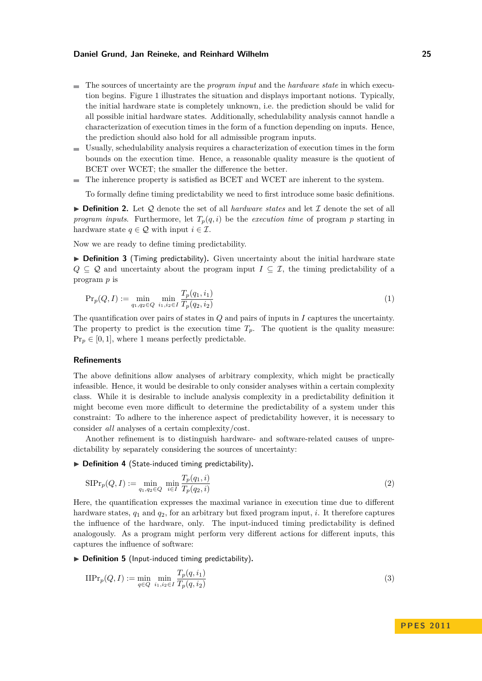- The sources of uncertainty are the *program input* and the *hardware state* in which execution begins. Figure [1](#page-2-0) illustrates the situation and displays important notions. Typically, the initial hardware state is completely unknown, i.e. the prediction should be valid for all possible initial hardware states. Additionally, schedulability analysis cannot handle a characterization of execution times in the form of a function depending on inputs. Hence, the prediction should also hold for all admissible program inputs.
- Usually, schedulability analysis requires a characterization of execution times in the form bounds on the execution time. Hence, a reasonable quality measure is the quotient of BCET over WCET; the smaller the difference the better.
- The inherence property is satisfied as BCET and WCET are inherent to the system.  $\blacksquare$

To formally define timing predictability we need to first introduce some basic definitions.

 $\triangleright$  **Definition 2.** Let Q denote the set of all *hardware states* and let  $\mathcal I$  denote the set of all *program inputs.* Furthermore, let  $T_p(q, i)$  be the *execution time* of program *p* starting in hardware state  $q \in \mathcal{Q}$  with input  $i \in \mathcal{I}$ .

Now we are ready to define timing predictability.

▶ Definition 3 (Timing predictability). Given uncertainty about the initial hardware state  $Q \subseteq Q$  and uncertainty about the program input  $I \subseteq \mathcal{I}$ , the timing predictability of a program *p* is

<span id="page-3-0"></span>
$$
\Pr_p(Q, I) := \min_{q_1, q_2 \in Q} \ \min_{i_1, i_2 \in I} \frac{T_p(q_1, i_1)}{T_p(q_2, i_2)} \tag{1}
$$

The quantification over pairs of states in *Q* and pairs of inputs in *I* captures the uncertainty. The property to predict is the execution time  $T_p$ . The quotient is the quality measure:  $Pr_p \in [0, 1]$ , where 1 means perfectly predictable.

### **Refinements**

The above definitions allow analyses of arbitrary complexity, which might be practically infeasible. Hence, it would be desirable to only consider analyses within a certain complexity class. While it is desirable to include analysis complexity in a predictability definition it might become even more difficult to determine the predictability of a system under this constraint: To adhere to the inherence aspect of predictability however, it is necessary to consider *all* analyses of a certain complexity/cost.

Another refinement is to distinguish hardware- and software-related causes of unpredictability by separately considering the sources of uncertainty:

▶ Definition 4 (State-induced timing predictability).

$$
SIPr_p(Q, I) := \min_{q_1, q_2 \in Q} \min_{i \in I} \frac{T_p(q_1, i)}{T_p(q_2, i)} \tag{2}
$$

Here, the quantification expresses the maximal variance in execution time due to different hardware states, *q*<sup>1</sup> and *q*2, for an arbitrary but fixed program input, *i*. It therefore captures the influence of the hardware, only. The input-induced timing predictability is defined analogously. As a program might perform very different actions for different inputs, this captures the influence of software:

▶ Definition 5 (Input-induced timing predictability).

$$
\text{IIPr}_p(Q, I) := \min_{q \in Q} \min_{i_1, i_2 \in I} \frac{T_p(q, i_1)}{T_p(q, i_2)}\tag{3}
$$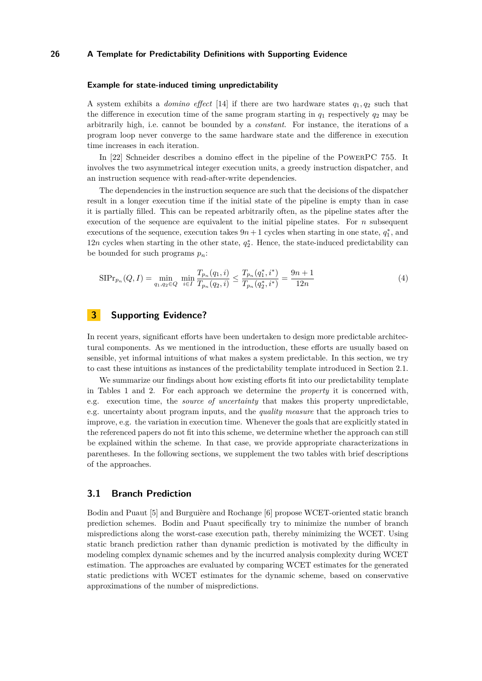#### **Example for state-induced timing unpredictability**

A system exhibits a *domino effect* [\[14\]](#page-9-8) if there are two hardware states *q*1*, q*<sup>2</sup> such that the difference in execution time of the same program starting in  $q_1$  respectively  $q_2$  may be arbitrarily high, i.e. cannot be bounded by a *constant*. For instance, the iterations of a program loop never converge to the same hardware state and the difference in execution time increases in each iteration.

In [\[22\]](#page-9-9) Schneider describes a domino effect in the pipeline of the PowerPC 755. It involves the two asymmetrical integer execution units, a greedy instruction dispatcher, and an instruction sequence with read-after-write dependencies.

The dependencies in the instruction sequence are such that the decisions of the dispatcher result in a longer execution time if the initial state of the pipeline is empty than in case it is partially filled. This can be repeated arbitrarily often, as the pipeline states after the execution of the sequence are equivalent to the initial pipeline states. For *n* subsequent executions of the sequence, execution takes  $9n + 1$  cycles when starting in one state,  $q_1^*$ , and  $12n$  cycles when starting in the other state,  $q_2^*$ . Hence, the state-induced predictability can be bounded for such programs *pn*:

$$
\text{SIPr}_{p_n}(Q, I) = \min_{q_1, q_2 \in Q} \ \min_{i \in I} \frac{T_{p_n}(q_1, i)}{T_{p_n}(q_2, i)} \le \frac{T_{p_n}(q_1^*, i^*)}{T_{p_n}(q_2^*, i^*)} = \frac{9n + 1}{12n} \tag{4}
$$

# **3 Supporting Evidence?**

<span id="page-4-0"></span>In recent years, significant efforts have been undertaken to design more predictable architectural components. As we mentioned in the introduction, these efforts are usually based on sensible, yet informal intuitions of what makes a system predictable. In this section, we try to cast these intuitions as instances of the predictability template introduced in Section [2.1.](#page-2-1)

We summarize our findings about how existing efforts fit into our predictability template in Tables [1](#page-5-0) and [2.](#page-6-0) For each approach we determine the *property* it is concerned with, e.g. execution time, the *source of uncertainty* that makes this property unpredictable, e.g. uncertainty about program inputs, and the *quality measure* that the approach tries to improve, e.g. the variation in execution time. Whenever the goals that are explicitly stated in the referenced papers do not fit into this scheme, we determine whether the approach can still be explained within the scheme. In that case, we provide appropriate characterizations in parentheses. In the following sections, we supplement the two tables with brief descriptions of the approaches.

## **3.1 Branch Prediction**

Bodin and Puaut [\[5\]](#page-8-1) and Burguière and Rochange [\[6\]](#page-9-10) propose WCET-oriented static branch prediction schemes. Bodin and Puaut specifically try to minimize the number of branch mispredictions along the worst-case execution path, thereby minimizing the WCET. Using static branch prediction rather than dynamic prediction is motivated by the difficulty in modeling complex dynamic schemes and by the incurred analysis complexity during WCET estimation. The approaches are evaluated by comparing WCET estimates for the generated static predictions with WCET estimates for the dynamic scheme, based on conservative approximations of the number of mispredictions.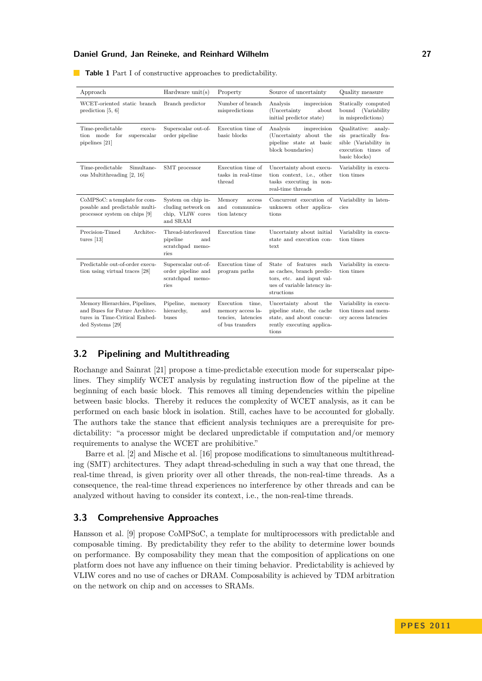| Approach                                                                                                              | Hardware $unit(s)$                                                       | Property                                                                          | Source of uncertainty                                                                                                         | Quality measure                                                                                             |
|-----------------------------------------------------------------------------------------------------------------------|--------------------------------------------------------------------------|-----------------------------------------------------------------------------------|-------------------------------------------------------------------------------------------------------------------------------|-------------------------------------------------------------------------------------------------------------|
| WCET-oriented static branch<br>prediction $[5, 6]$                                                                    | Branch predictor                                                         | Number of branch<br>mispredictions                                                | Analysis<br>imprecision<br>(Uncertainty<br>about<br>initial predictor state)                                                  | Statically computed<br>bound (Variability<br>in mispredictions)                                             |
| Time-predictable<br>execu-<br>tion mode for<br>superscalar<br>pipelines [21]                                          | Superscalar out-of-<br>order pipeline                                    | Execution time of<br>basic blocks                                                 | Analysis<br>imprecision<br>(Uncertainty about the<br>pipeline state at basic<br>block boundaries)                             | Qualitative: analy-<br>sis practically fea-<br>sible (Variability in<br>execution times of<br>basic blocks) |
| Simultane-<br>Time-predictable<br>ous Multithreading [2, 16]                                                          | SMT processor                                                            | Execution time of<br>tasks in real-time<br>thread                                 | Uncertainty about execu-<br>tion context, i.e., other<br>tasks executing in non-<br>real-time threads                         | Variability in execu-<br>tion times                                                                         |
| CoMPSoC: a template for com-<br>posable and predictable multi-<br>processor system on chips [9]                       | System on chip in-<br>cluding network on<br>chip, VLIW cores<br>and SRAM | Memory<br>access<br>and communica-<br>tion latency                                | Concurrent execution of<br>unknown other applica-<br>tions                                                                    | Variability in laten-<br>cies                                                                               |
| Precision-Timed<br>Architec-<br>tures $[13]$                                                                          | Thread-interleaved<br>pipeline<br>and<br>scratchpad memo-<br>ries        | Execution time                                                                    | Uncertainty about initial<br>state and execution con-<br>text                                                                 | Variability in execu-<br>tion times                                                                         |
| Predictable out-of-order execu-<br>tion using virtual traces [28]                                                     | Superscalar out-of-<br>order pipeline and<br>scratchpad memo-<br>ries    | Execution time of<br>program paths                                                | State of features such<br>as caches, branch predic-<br>tors, etc. and input val-<br>ues of variable latency in-<br>structions | Variability in execu-<br>tion times                                                                         |
| Memory Hierarchies, Pipelines,<br>and Buses for Future Architec-<br>tures in Time-Critical Embed-<br>ded Systems [29] | Pipeline,<br>memory<br>hierarchy,<br>and<br>buses                        | Execution<br>time,<br>memory access la-<br>tencies, latencies<br>of bus transfers | Uncertainty about the<br>pipeline state, the cache<br>state, and about concur-<br>rently executing applica-<br>tions          | Variability in execu-<br>tion times and mem-<br>ory access latencies                                        |

**Table 1** Part I of constructive approaches to predictability.

## <span id="page-5-0"></span>**3.2 Pipelining and Multithreading**

Rochange and Sainrat [\[21\]](#page-9-11) propose a time-predictable execution mode for superscalar pipelines. They simplify WCET analysis by regulating instruction flow of the pipeline at the beginning of each basic block. This removes all timing dependencies within the pipeline between basic blocks. Thereby it reduces the complexity of WCET analysis, as it can be performed on each basic block in isolation. Still, caches have to be accounted for globally. The authors take the stance that efficient analysis techniques are a prerequisite for predictability: "a processor might be declared unpredictable if computation and/or memory requirements to analyse the WCET are prohibitive."

Barre et al. [\[2\]](#page-8-2) and Mische et al. [\[16\]](#page-9-12) propose modifications to simultaneous multithreading (SMT) architectures. They adapt thread-scheduling in such a way that one thread, the real-time thread, is given priority over all other threads, the non-real-time threads. As a consequence, the real-time thread experiences no interference by other threads and can be analyzed without having to consider its context, i.e., the non-real-time threads.

# **3.3 Comprehensive Approaches**

Hansson et al. [\[9\]](#page-9-13) propose CoMPSoC, a template for multiprocessors with predictable and composable timing. By predictability they refer to the ability to determine lower bounds on performance. By composability they mean that the composition of applications on one platform does not have any influence on their timing behavior. Predictability is achieved by VLIW cores and no use of caches or DRAM. Composability is achieved by TDM arbitration on the network on chip and on accesses to SRAMs.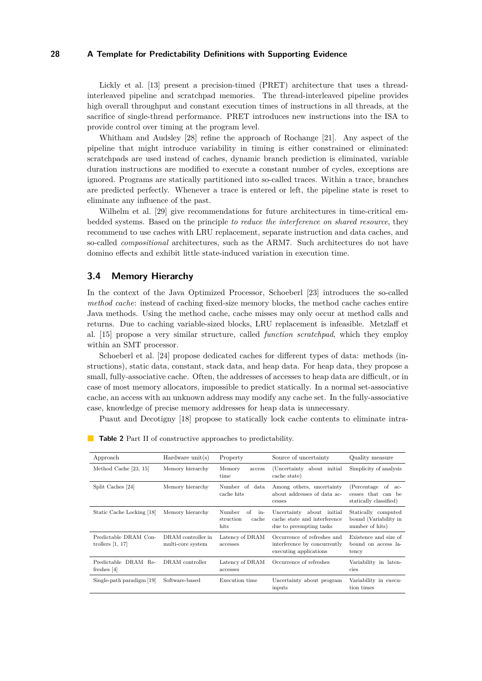Lickly et al. [\[13\]](#page-9-5) present a precision-timed (PRET) architecture that uses a threadinterleaved pipeline and scratchpad memories. The thread-interleaved pipeline provides high overall throughput and constant execution times of instructions in all threads, at the sacrifice of single-thread performance. PRET introduces new instructions into the ISA to provide control over timing at the program level.

Whitham and Audsley [\[28\]](#page-9-14) refine the approach of Rochange [\[21\]](#page-9-11). Any aspect of the pipeline that might introduce variability in timing is either constrained or eliminated: scratchpads are used instead of caches, dynamic branch prediction is eliminated, variable duration instructions are modified to execute a constant number of cycles, exceptions are ignored. Programs are statically partitioned into so-called traces. Within a trace, branches are predicted perfectly. Whenever a trace is entered or left, the pipeline state is reset to eliminate any influence of the past.

Wilhelm et al. [\[29\]](#page-9-15) give recommendations for future architectures in time-critical embedded systems. Based on the principle *to reduce the interference on shared resource*, they recommend to use caches with LRU replacement, separate instruction and data caches, and so-called *compositional* architectures, such as the ARM7. Such architectures do not have domino effects and exhibit little state-induced variation in execution time.

## **3.4 Memory Hierarchy**

In the context of the Java Optimized Processor, Schoeberl [\[23\]](#page-9-16) introduces the so-called *method cache*: instead of caching fixed-size memory blocks, the method cache caches entire Java methods. Using the method cache, cache misses may only occur at method calls and returns. Due to caching variable-sized blocks, LRU replacement is infeasible. Metzlaff et al. [\[15\]](#page-9-17) propose a very similar structure, called *function scratchpad*, which they employ within an SMT processor.

Schoeberl et al. [\[24\]](#page-9-18) propose dedicated caches for different types of data: methods (instructions), static data, constant, stack data, and heap data. For heap data, they propose a small, fully-associative cache. Often, the addresses of accesses to heap data are difficult, or in case of most memory allocators, impossible to predict statically. In a normal set-associative cache, an access with an unknown address may modify any cache set. In the fully-associative case, knowledge of precise memory addresses for heap data is unnecessary.

Puaut and Decotigny [\[18\]](#page-9-19) propose to statically lock cache contents to eliminate intra-

<span id="page-6-0"></span>

| Approach                                    | Hardware $unit(s)$                      | Property                                          | Source of uncertainty                                                                 | Quality measure                                                         |
|---------------------------------------------|-----------------------------------------|---------------------------------------------------|---------------------------------------------------------------------------------------|-------------------------------------------------------------------------|
| Method Cache [23, 15]                       | Memory hierarchy                        | Memory<br>access<br>time                          | about initial<br>(Uncertainty)<br>cache state)                                        | Simplicity of analysis                                                  |
| Split Caches [24]                           | Memory hierarchy                        | Number of data<br>cache hits                      | Among others, uncertainty<br>about addresses of data ac-<br>cesses                    | (Percentage of<br>$ac-$<br>cesses that can be<br>statically classified) |
| Static Cache Locking [18]                   | Memory hierarchy                        | Number<br>of<br>in-<br>cache<br>struction<br>hits | Uncertainty about initial<br>cache state and interference<br>due to preempting tasks  | Statically computed<br>bound (Variability in<br>number of hits)         |
| Predictable DRAM Con-<br>trollers $[1, 17]$ | DRAM controller in<br>multi-core system | Latency of DRAM<br>accesses                       | Occurrence of refreshes and<br>interference by concurrently<br>executing applications | Existence and size of<br>bound on access la-<br>tency                   |
| Predictable<br>DRAM Re-<br>freshes $[4]$    | DRAM controller                         | Latency of DRAM<br>accesses                       | Occurrence of refreshes                                                               | Variability in laten-<br>cies                                           |
| Single-path paradigm [19]                   | Software-based                          | Execution time                                    | Uncertainty about program<br>inputs                                                   | Variability in execu-<br>tion times                                     |

| <b>Table 2</b> Part II of constructive approaches to predictability. |
|----------------------------------------------------------------------|
|----------------------------------------------------------------------|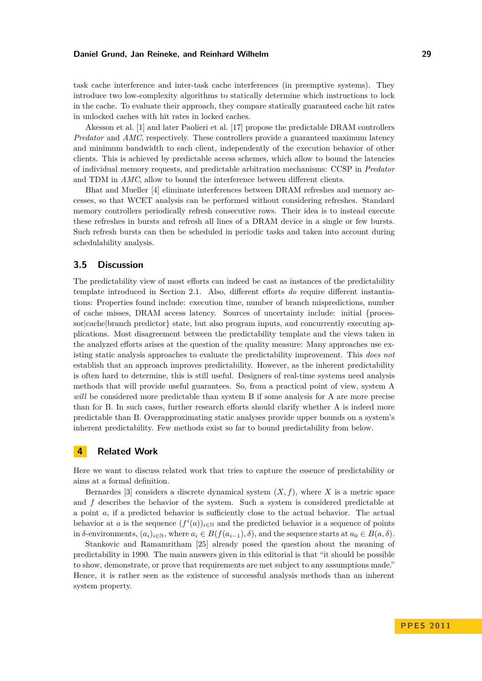task cache interference and inter-task cache interferences (in preemptive systems). They introduce two low-complexity algorithms to statically determine which instructions to lock in the cache. To evaluate their approach, they compare statically guaranteed cache hit rates in unlocked caches with hit rates in locked caches.

Akesson et al. [\[1\]](#page-8-3) and later Paolieri et al. [\[17\]](#page-9-20) propose the predictable DRAM controllers *Predator* and *AMC*, respectively. These controllers provide a guaranteed maximum latency and minimum bandwidth to each client, independently of the execution behavior of other clients. This is achieved by predictable access schemes, which allow to bound the latencies of individual memory requests, and predictable arbitration mechanisms: CCSP in *Predator* and TDM in *AMC*, allow to bound the interference between different clients.

Bhat and Mueller [\[4\]](#page-8-4) eliminate interferences between DRAM refreshes and memory accesses, so that WCET analysis can be performed without considering refreshes. Standard memory controllers periodically refresh consecutive rows. Their idea is to instead execute these refreshes in bursts and refresh all lines of a DRAM device in a single or few bursts. Such refresh bursts can then be scheduled in periodic tasks and taken into account during schedulability analysis.

## **3.5 Discussion**

The predictability view of most efforts can indeed be cast as instances of the predictability template introduced in Section [2.1.](#page-2-1) Also, different efforts *do* require different instantiations: Properties found include: execution time, number of branch mispredictions, number of cache misses, DRAM access latency. Sources of uncertainty include: initial {processor|cache|branch predictor state, but also program inputs, and concurrently executing applications. Most disagreement between the predictability template and the views taken in the analyzed efforts arises at the question of the quality measure: Many approaches use existing static analysis approaches to evaluate the predictability improvement. This *does not* establish that an approach improves predictability. However, as the inherent predictability is often hard to determine, this is still useful. Designers of real-time systems need analysis methods that will provide useful guarantees. So, from a practical point of view, system A *will* be considered more predictable than system B if some analysis for A are more precise than for B. In such cases, further research efforts should clarify whether A is indeed more predictable than B. Overapproximating static analyses provide upper bounds on a system's inherent predictability. Few methods exist so far to bound predictability from below.

## **4 Related Work**

Here we want to discuss related work that tries to capture the essence of predictability or aims at a formal definition.

Bernardes [\[3\]](#page-8-0) considers a discrete dynamical system  $(X, f)$ , where X is a metric space and *f* describes the behavior of the system. Such a system is considered predictable at a point *a*, if a predicted behavior is sufficiently close to the actual behavior. The actual behavior at *a* is the sequence  $(f^i(a))_{i\in\mathbb{N}}$  and the predicted behavior is a sequence of points in *δ*-environments,  $(a_i)_{i \in \mathbb{N}}$ , where  $a_i \in B(f(a_{i-1}), \delta)$ , and the sequence starts at  $a_0 \in B(a, \delta)$ .

Stankovic and Ramamritham [\[25\]](#page-9-1) already posed the question about the meaning of predictability in 1990. The main answers given in this editorial is that "it should be possible to show, demonstrate, or prove that requirements are met subject to any assumptions made." Hence, it is rather seen as the existence of successful analysis methods than an inherent system property.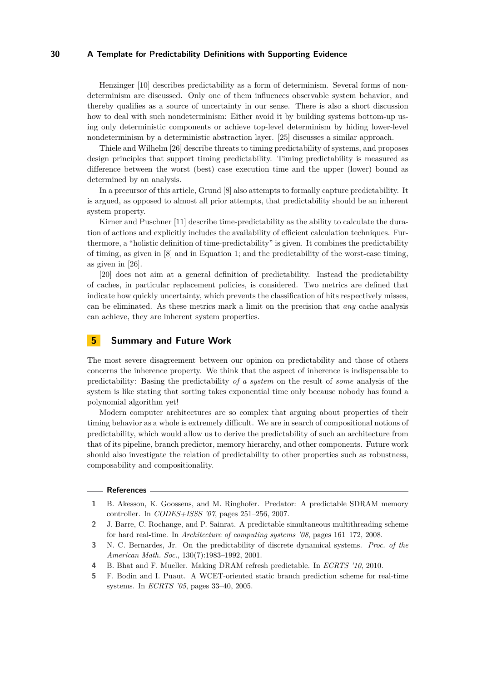Henzinger [\[10\]](#page-9-3) describes predictability as a form of determinism. Several forms of nondeterminism are discussed. Only one of them influences observable system behavior, and thereby qualifies as a source of uncertainty in our sense. There is also a short discussion how to deal with such nondeterminism: Either avoid it by building systems bottom-up using only deterministic components or achieve top-level determinism by hiding lower-level nondeterminism by a deterministic abstraction layer. [\[25\]](#page-9-1) discusses a similar approach.

Thiele and Wilhelm [\[26\]](#page-9-2) describe threats to timing predictability of systems, and proposes design principles that support timing predictability. Timing predictability is measured as difference between the worst (best) case execution time and the upper (lower) bound as determined by an analysis.

In a precursor of this article, Grund [\[8\]](#page-9-22) also attempts to formally capture predictability. It is argued, as opposed to almost all prior attempts, that predictability should be an inherent system property.

Kirner and Puschner [\[11\]](#page-9-23) describe time-predictability as the ability to calculate the duration of actions and explicitly includes the availability of efficient calculation techniques. Furthermore, a "holistic definition of time-predictability" is given. It combines the predictability of timing, as given in [\[8\]](#page-9-22) and in Equation [1;](#page-3-0) and the predictability of the worst-case timing, as given in [\[26\]](#page-9-2).

[\[20\]](#page-9-24) does not aim at a general definition of predictability. Instead the predictability of caches, in particular replacement policies, is considered. Two metrics are defined that indicate how quickly uncertainty, which prevents the classification of hits respectively misses, can be eliminated. As these metrics mark a limit on the precision that *any* cache analysis can achieve, they are inherent system properties.

# **5 Summary and Future Work**

The most severe disagreement between our opinion on predictability and those of others concerns the inherence property. We think that the aspect of inherence is indispensable to predictability: Basing the predictability *of a system* on the result of *some* analysis of the system is like stating that sorting takes exponential time only because nobody has found a polynomial algorithm yet!

Modern computer architectures are so complex that arguing about properties of their timing behavior as a whole is extremely difficult. We are in search of compositional notions of predictability, which would allow us to derive the predictability of such an architecture from that of its pipeline, branch predictor, memory hierarchy, and other components. Future work should also investigate the relation of predictability to other properties such as robustness, composability and compositionality.

#### **References**

- <span id="page-8-3"></span>**1** B. Akesson, K. Goossens, and M. Ringhofer. Predator: A predictable SDRAM memory controller. In *CODES+ISSS '07*, pages 251–256, 2007.
- <span id="page-8-2"></span>**2** J. Barre, C. Rochange, and P. Sainrat. A predictable simultaneous multithreading scheme for hard real-time. In *Architecture of computing systems '08*, pages 161–172, 2008.
- <span id="page-8-0"></span>**3** N. C. Bernardes, Jr. On the predictability of discrete dynamical systems. *Proc. of the American Math. Soc.*, 130(7):1983–1992, 2001.
- <span id="page-8-4"></span>**4** B. Bhat and F. Mueller. Making DRAM refresh predictable. In *ECRTS '10*, 2010.
- <span id="page-8-1"></span>**5** F. Bodin and I. Puaut. A WCET-oriented static branch prediction scheme for real-time systems. In *ECRTS '05*, pages 33–40, 2005.